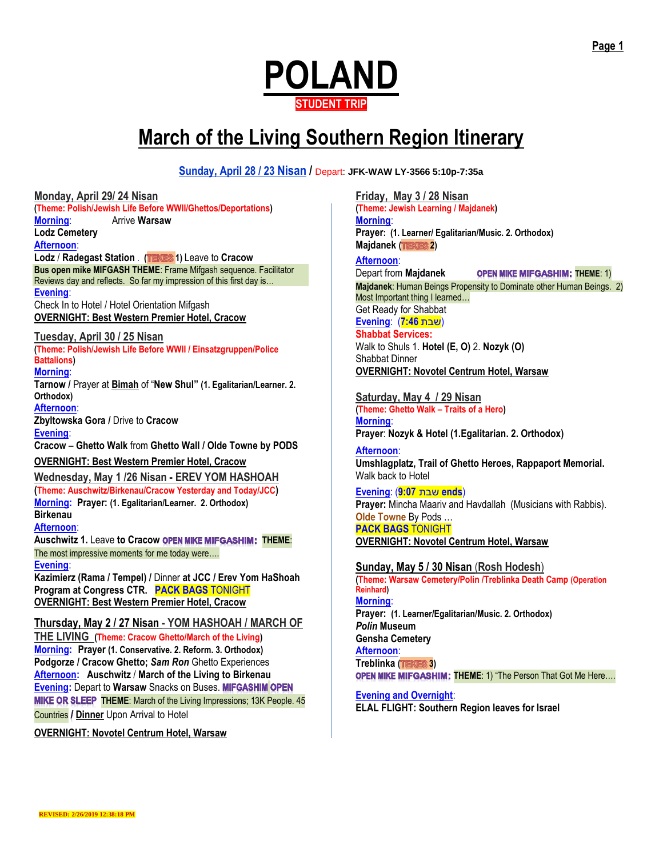

# **March of the Living Southern Region Itinerary**

**Sunday, April 28 / 23 Nisan /** Depart: **JFK-WAW LY-3566 5:10p-7:35a**

**Monday, April 29/ 24 Nisan (Theme: Polish/Jewish Life Before WWII/Ghettos/Deportations) Morning**: Arrive **Warsaw Lodz Cemetery Afternoon**: **Lodz** / **Radegast Station** . **( 1)** Leave to **Cracow Bus open mike MIFGASH THEME**: Frame Mifgash sequence. Facilitator Reviews day and reflects. So far my impression of this first day is… **Evening**: Check In to Hotel / Hotel Orientation Mifgash **OVERNIGHT: Best Western Premier Hotel, Cracow Tuesday, April 30 / 25 Nisan (Theme: Polish/Jewish Life Before WWII / Einsatzgruppen/Police Battalions) Morning**: **Tarnow /** Prayer at **Bimah** of "**New Shul" (1. Egalitarian/Learner. 2. Orthodox) Afternoon**: **Zbyltowska Gora /** Drive to **Cracow Evening**: **Cracow** – **Ghetto Walk** from **Ghetto Wall / Olde Towne by PODS OVERNIGHT: Best Western Premier Hotel, Cracow Wednesday, May 1 /26 Nisan - EREV YOM HASHOAH (Theme: Auschwitz/Birkenau/Cracow Yesterday and Today/JCC) Morning: Prayer: (1. Egalitarian/Learner. 2. Orthodox) Birkenau Afternoon**: **Auschwitz 1. Leave to Cracow OPEN MIKE MIFGASHIM: THEME:** The most impressive moments for me today were…. **Evening**: **Kazimierz (Rama / Tempel) /** Dinner **at JCC / Erev Yom HaShoah Program at Congress CTR. PACK BAGS** TONIGHT **OVERNIGHT: Best Western Premier Hotel, Cracow Thursday, May 2 / 27 Nisan - YOM HASHOAH / MARCH OF THE LIVING (Theme: Cracow Ghetto/March of the Living) Morning: Prayer (1. Conservative. 2. Reform. 3. Orthodox) Podgorze / Cracow Ghetto;** *Sam Ron* Ghetto Experiences **Afternoon: Auschwitz** / **March of the Living to Birkenau Evening:** Depart to **Warsaw** Snacks on Buses. **MIKE OR SLEEP THEME:** March of the Living Impressions; 13K People. 45

**Countries / Dinner** Upon Arrival to Hotel

**OVERNIGHT: Novotel Centrum Hotel, Warsaw**

**Friday, May 3 / 28 Nisan (Theme: Jewish Learning / Majdanek) Morning**: **Prayer: (1. Learner/ Egalitarian/Music. 2. Orthodox) Majdanek (TEKES 2)** 

**Afternoon**: **Depart from Majdanek OPEN MIKE MIFGASHIM: THEME: 1) Majdanek**: Human Beings Propensity to Dominate other Human Beings. 2) Most Important thing I learned… Get Ready for Shabbat (שבת **7:46**) :**Evening Shabbat Services:**  Walk to Shuls 1. **Hotel (E, O)** 2. **Nozyk (O)** Shabbat Dinner

**OVERNIGHT: Novotel Centrum Hotel, Warsaw**

**Saturday, May 4 / 29 Nisan (Theme: Ghetto Walk – Traits of a Hero) Morning**: **Prayer**: **Nozyk & Hotel (1.Egalitarian. 2. Orthodox)**

**Afternoon**: **Umshlagplatz, Trail of Ghetto Heroes, Rappaport Memorial.** Walk back to Hotel

**Evening**: (**9:07** שבת **ends**) **Prayer:** Mincha Maariv and Havdallah (Musicians with Rabbis). **Olde Towne** By Pods … **PACK BAGS** TONIGHT **OVERNIGHT: Novotel Centrum Hotel, Warsaw**

## **Sunday, May 5 / 30 Nisan** (**Rosh Hodesh**)

**(Theme: Warsaw Cemetery/Polin /Treblinka Death Camp (Operation Reinhard) Morning**: **Prayer: (1. Learner/Egalitarian/Music. 2. Orthodox)** *Polin* **Museum Gensha Cemetery Afternoon**: **Treblinka ( 3) OPEN MIKE MIFGASHIM: THEME: 1) "The Person That Got Me Here....** 

**Evening and Overnight**: **ELAL FLIGHT: Southern Region leaves for Israel**